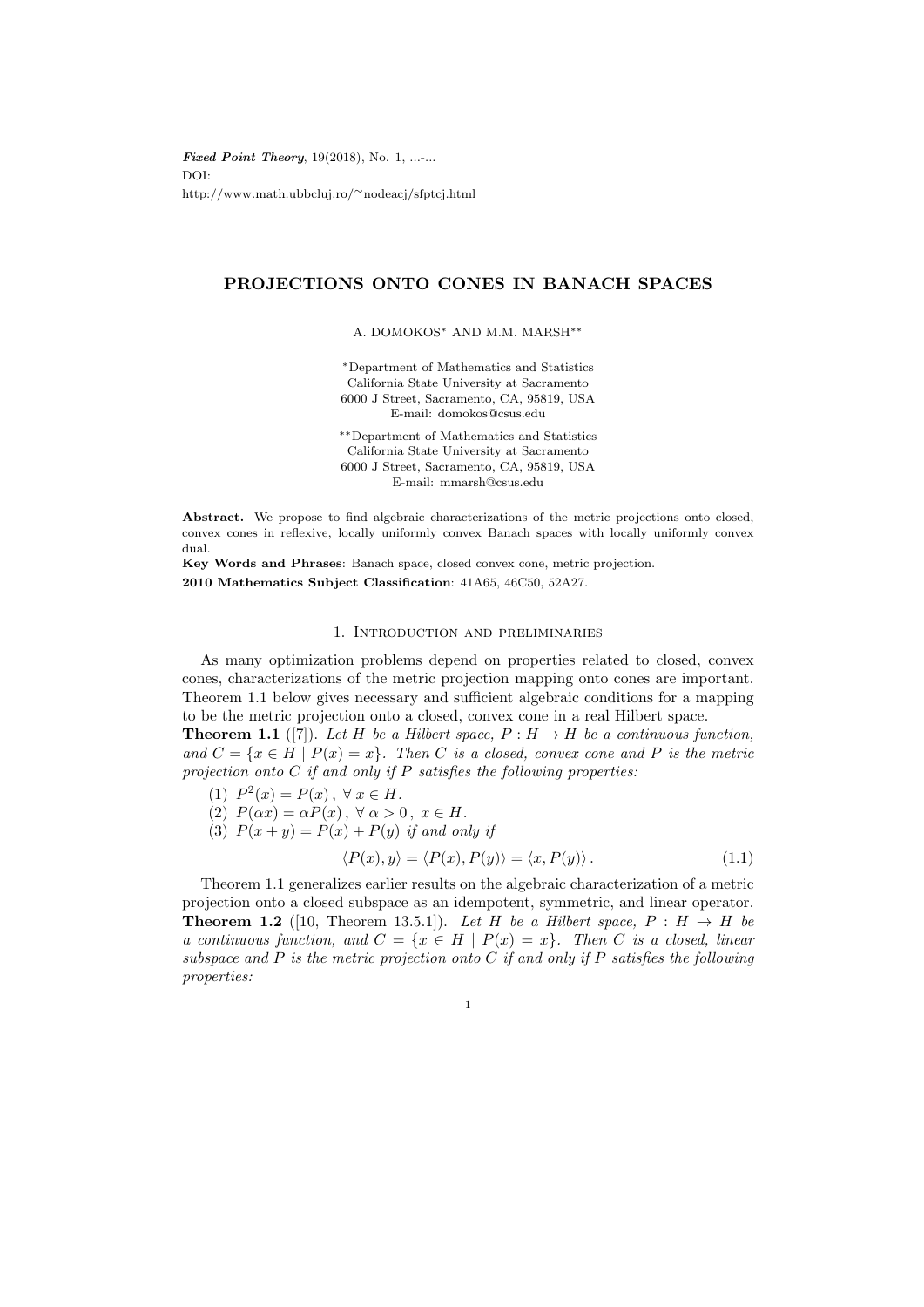**Fixed Point Theory,**  $19(2018)$ , No. 1, ...-... DOI: http://www.math.ubbcluj.ro/∼nodeacj/sfptcj.html

# PROJECTIONS ONTO CONES IN BANACH SPACES

A. DOMOKOS<sup>∗</sup> AND M.M. MARSH∗∗

<sup>∗</sup>Department of Mathematics and Statistics California State University at Sacramento 6000 J Street, Sacramento, CA, 95819, USA E-mail: domokos@csus.edu

∗∗Department of Mathematics and Statistics California State University at Sacramento 6000 J Street, Sacramento, CA, 95819, USA E-mail: mmarsh@csus.edu

Abstract. We propose to find algebraic characterizations of the metric projections onto closed, convex cones in reflexive, locally uniformly convex Banach spaces with locally uniformly convex dual.

Key Words and Phrases: Banach space, closed convex cone, metric projection. 2010 Mathematics Subject Classification: 41A65, 46C50, 52A27.

## 1. Introduction and preliminaries

As many optimization problems depend on properties related to closed, convex cones, characterizations of the metric projection mapping onto cones are important. Theorem 1.1 below gives necessary and sufficient algebraic conditions for a mapping to be the metric projection onto a closed, convex cone in a real Hilbert space. **Theorem 1.1** ([7]). Let H be a Hilbert space,  $P : H \rightarrow H$  be a continuous function,

and  $C = \{x \in H \mid P(x) = x\}$ . Then C is a closed, convex cone and P is the metric projection onto  $C$  if and only if  $P$  satisfies the following properties:

- (1)  $P^2(x) = P(x), \forall x \in H.$
- (2)  $P(\alpha x) = \alpha P(x), \forall \alpha > 0, x \in H.$
- (3)  $P(x + y) = P(x) + P(y)$  if and only if

$$
\langle P(x), y \rangle = \langle P(x), P(y) \rangle = \langle x, P(y) \rangle. \tag{1.1}
$$

Theorem 1.1 generalizes earlier results on the algebraic characterization of a metric projection onto a closed subspace as an idempotent, symmetric, and linear operator. **Theorem 1.2** ([10, Theorem 13.5.1]). Let H be a Hilbert space,  $P : H \rightarrow H$  be a continuous function, and  $C = \{x \in H \mid P(x) = x\}$ . Then C is a closed, linear subspace and  $P$  is the metric projection onto  $C$  if and only if  $P$  satisfies the following properties:

1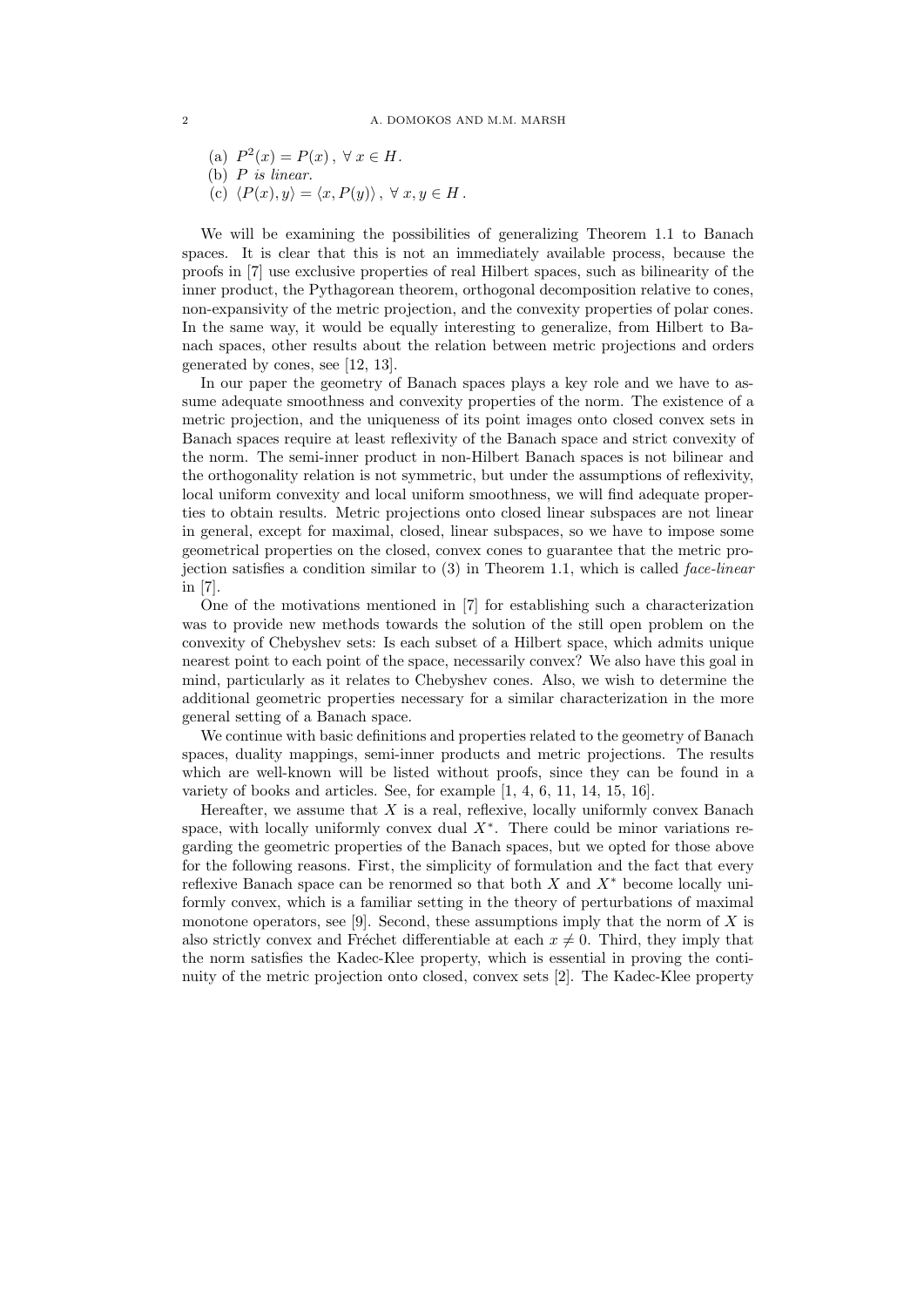(a) 
$$
P^2(x) = P(x), \forall x \in H.
$$

(b)  $P$  is linear.

(c) 
$$
\langle P(x), y \rangle = \langle x, P(y) \rangle, \forall x, y \in H
$$
.

We will be examining the possibilities of generalizing Theorem 1.1 to Banach spaces. It is clear that this is not an immediately available process, because the proofs in [7] use exclusive properties of real Hilbert spaces, such as bilinearity of the inner product, the Pythagorean theorem, orthogonal decomposition relative to cones, non-expansivity of the metric projection, and the convexity properties of polar cones. In the same way, it would be equally interesting to generalize, from Hilbert to Banach spaces, other results about the relation between metric projections and orders generated by cones, see [12, 13].

In our paper the geometry of Banach spaces plays a key role and we have to assume adequate smoothness and convexity properties of the norm. The existence of a metric projection, and the uniqueness of its point images onto closed convex sets in Banach spaces require at least reflexivity of the Banach space and strict convexity of the norm. The semi-inner product in non-Hilbert Banach spaces is not bilinear and the orthogonality relation is not symmetric, but under the assumptions of reflexivity, local uniform convexity and local uniform smoothness, we will find adequate properties to obtain results. Metric projections onto closed linear subspaces are not linear in general, except for maximal, closed, linear subspaces, so we have to impose some geometrical properties on the closed, convex cones to guarantee that the metric projection satisfies a condition similar to  $(3)$  in Theorem 1.1, which is called *face-linear* in [7].

One of the motivations mentioned in [7] for establishing such a characterization was to provide new methods towards the solution of the still open problem on the convexity of Chebyshev sets: Is each subset of a Hilbert space, which admits unique nearest point to each point of the space, necessarily convex? We also have this goal in mind, particularly as it relates to Chebyshev cones. Also, we wish to determine the additional geometric properties necessary for a similar characterization in the more general setting of a Banach space.

We continue with basic definitions and properties related to the geometry of Banach spaces, duality mappings, semi-inner products and metric projections. The results which are well-known will be listed without proofs, since they can be found in a variety of books and articles. See, for example [1, 4, 6, 11, 14, 15, 16].

Hereafter, we assume that  $X$  is a real, reflexive, locally uniformly convex Banach space, with locally uniformly convex dual  $X^*$ . There could be minor variations regarding the geometric properties of the Banach spaces, but we opted for those above for the following reasons. First, the simplicity of formulation and the fact that every reflexive Banach space can be renormed so that both  $X$  and  $X^*$  become locally uniformly convex, which is a familiar setting in the theory of perturbations of maximal monotone operators, see [9]. Second, these assumptions imply that the norm of  $X$  is also strictly convex and Fréchet differentiable at each  $x \neq 0$ . Third, they imply that the norm satisfies the Kadec-Klee property, which is essential in proving the continuity of the metric projection onto closed, convex sets [2]. The Kadec-Klee property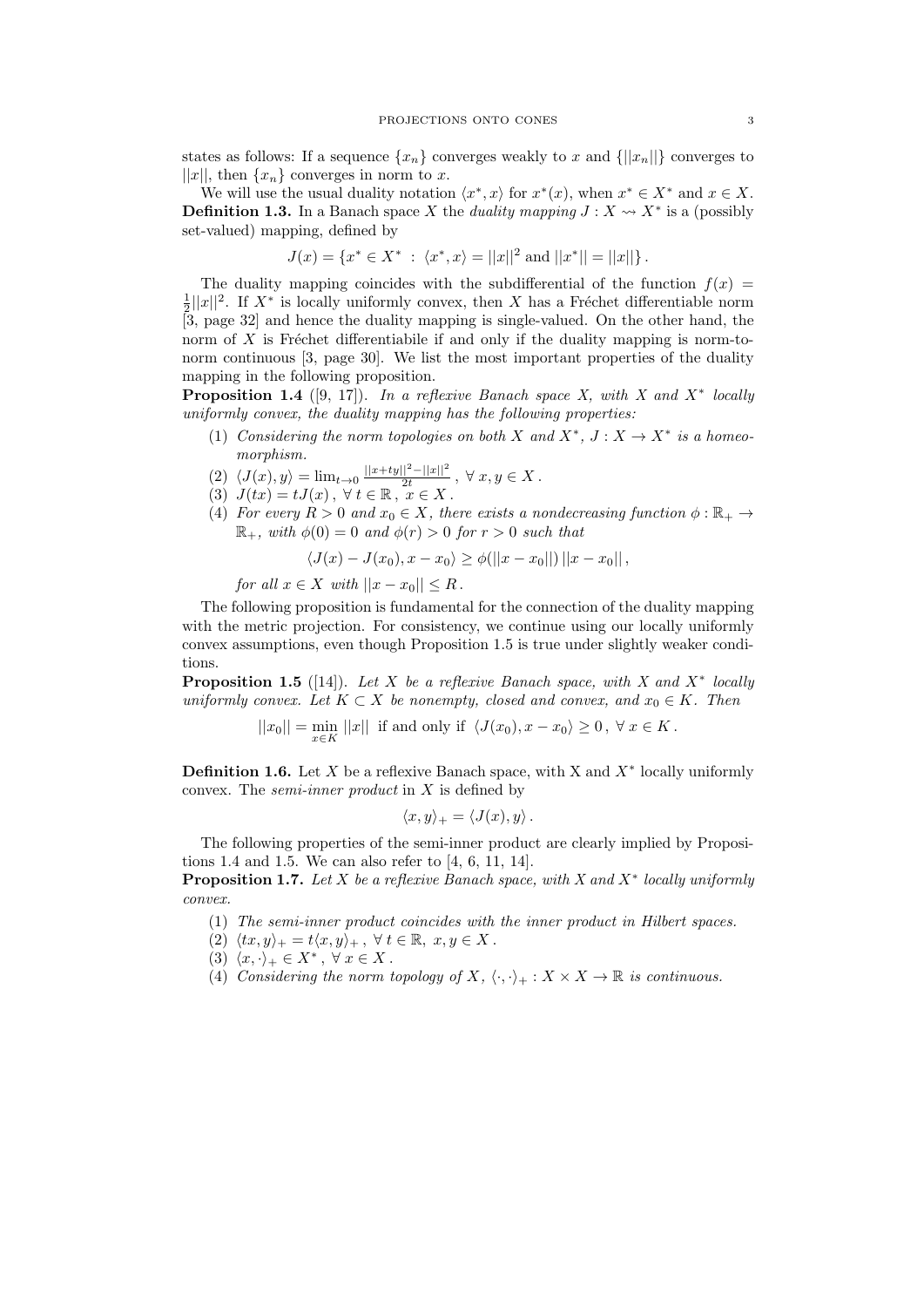states as follows: If a sequence  $\{x_n\}$  converges weakly to x and  $\{\|x_n\|\}$  converges to  $||x||$ , then  $\{x_n\}$  converges in norm to x.

We will use the usual duality notation  $\langle x^*, x \rangle$  for  $x^*(x)$ , when  $x^* \in X^*$  and  $x \in X$ . **Definition 1.3.** In a Banach space X the *duality mapping*  $J: X \rightarrow X^*$  is a (possibly set-valued) mapping, defined by

$$
J(x) = \{x^* \in X^* \; : \; \langle x^*, x \rangle = ||x||^2 \text{ and } ||x^*|| = ||x||\}.
$$

The duality mapping coincides with the subdifferential of the function  $f(x)$  $\frac{1}{2}||x||^2$ . If  $X^*$  is locally uniformly convex, then X has a Fréchet differentiable norm  $2^{\lceil |\mathcal{L}| \rceil}$ . If A is locally uniformly convex, then A has a Freeher differentiable from norm of  $X$  is Fréchet differentiabile if and only if the duality mapping is norm-tonorm continuous [3, page 30]. We list the most important properties of the duality mapping in the following proposition.

**Proposition 1.4** ([9, 17]). In a reflexive Banach space X, with X and  $X^*$  locally uniformly convex, the duality mapping has the following properties:

- (1) Considering the norm topologies on both X and  $X^*$ ,  $J: X \to X^*$  is a homeomorphism.
- $(2) \langle J(x), y \rangle = \lim_{t\to 0} \frac{||x+ty||^2-||x||^2}{2t}$  $\frac{1}{2t}$   $\frac{-||x||}{2t}$ ,  $\forall x, y \in X$ .
- (3)  $J(tx) = tJ(x), \forall t \in \mathbb{R}, \ x \in X$ .
- (4) For every  $R > 0$  and  $x_0 \in X$ , there exists a nondecreasing function  $\phi : \mathbb{R}_+ \to$  $\mathbb{R}_+$ , with  $\phi(0) = 0$  and  $\phi(r) > 0$  for  $r > 0$  such that

$$
\langle J(x) - J(x_0), x - x_0 \rangle \ge \phi(||x - x_0||) ||x - x_0||,
$$

for all  $x \in X$  with  $||x - x_0|| \leq R$ .

The following proposition is fundamental for the connection of the duality mapping with the metric projection. For consistency, we continue using our locally uniformly convex assumptions, even though Proposition 1.5 is true under slightly weaker conditions.

**Proposition 1.5** ([14]). Let X be a reflexive Banach space, with X and  $X^*$  locally uniformly convex. Let  $K \subset X$  be nonempty, closed and convex, and  $x_0 \in K$ . Then

$$
||x_0|| = \min_{x \in K} ||x|| \text{ if and only if } \langle J(x_0), x - x_0 \rangle \ge 0, \ \forall \ x \in K.
$$

**Definition 1.6.** Let X be a reflexive Banach space, with X and  $X^*$  locally uniformly convex. The *semi-inner product* in  $X$  is defined by

$$
\langle x,y\rangle_+=\langle J(x),y\rangle.
$$

The following properties of the semi-inner product are clearly implied by Propositions 1.4 and 1.5. We can also refer to [4, 6, 11, 14].

**Proposition 1.7.** Let X be a reflexive Banach space, with X and  $X^*$  locally uniformly convex.

- (1) The semi-inner product coincides with the inner product in Hilbert spaces.
- (2)  $\langle tx, y \rangle_+ = t\langle x, y \rangle_+$ ,  $\forall t \in \mathbb{R}, x, y \in X$ .
- (3)  $\langle x, \cdot \rangle_+ \in X^*$ ,  $\forall x \in X$ .
- (4) Considering the norm topology of X,  $\langle \cdot, \cdot \rangle_+ : X \times X \to \mathbb{R}$  is continuous.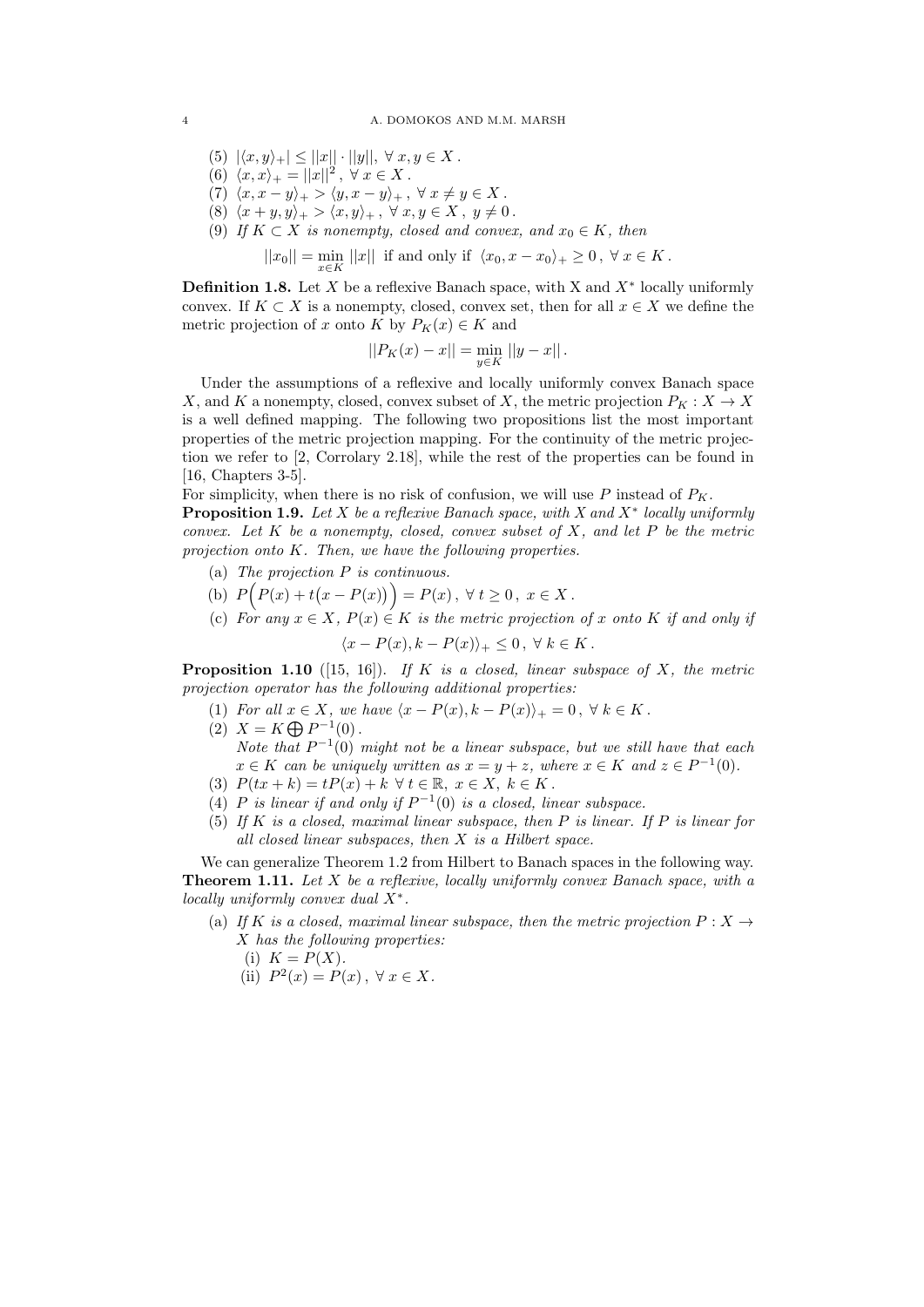- (5)  $|\langle x, y \rangle_+| \leq ||x|| \cdot ||y||, \forall x, y \in X$ .
- (6)  $\langle x, x \rangle_+ = ||x||^2, \ \forall \ x \in X$ .
- (7)  $\langle x, x y \rangle_+$  >  $\langle y, x y \rangle_+$ ,  $\forall x \neq y \in X$ .
- (8)  $\langle x + y, y \rangle_+ > \langle x, y \rangle_+$ ,  $\forall x, y \in X$ ,  $y \neq 0$ .
- (9) If  $K \subset X$  is nonempty, closed and convex, and  $x_0 \in K$ , then

 $||x_0|| = \min_{x \in K} ||x||$  if and only if  $\langle x_0, x - x_0 \rangle_+ \geq 0, \ \forall x \in K$ .

**Definition 1.8.** Let  $X$  be a reflexive Banach space, with  $X$  and  $X^*$  locally uniformly convex. If  $K \subset X$  is a nonempty, closed, convex set, then for all  $x \in X$  we define the metric projection of x onto K by  $P_K(x) \in K$  and

$$
||P_K(x) - x|| = \min_{y \in K} ||y - x||.
$$

Under the assumptions of a reflexive and locally uniformly convex Banach space X, and K a nonempty, closed, convex subset of X, the metric projection  $P_K : X \to X$ is a well defined mapping. The following two propositions list the most important properties of the metric projection mapping. For the continuity of the metric projection we refer to [2, Corrolary 2.18], while the rest of the properties can be found in [16, Chapters 3-5].

For simplicity, when there is no risk of confusion, we will use  $P$  instead of  $P_K$ .

**Proposition 1.9.** Let X be a reflexive Banach space, with X and  $X^*$  locally uniformly convex. Let  $K$  be a nonempty, closed, convex subset of  $X$ , and let  $P$  be the metric projection onto K. Then, we have the following properties.

- (a) The projection P is continuous.
- (b)  $P(P(x) + t(x P(x))) = P(x), \forall t \ge 0, x \in X.$
- (c) For any  $x \in X$ ,  $P(x) \in K$  is the metric projection of x onto K if and only if

$$
\langle x - P(x), k - P(x) \rangle_+ \leq 0, \ \forall \ k \in K.
$$

**Proposition 1.10** ([15, 16]). If K is a closed, linear subspace of X, the metric projection operator has the following additional properties:

- (1) For all  $x \in X$ , we have  $\langle x P(x), k P(x) \rangle_+ = 0$ ,  $\forall k \in K$ .
- (2)  $X = K \bigoplus P^{-1}(0)$ . Note that  $P^{-1}(0)$  might not be a linear subspace, but we still have that each  $x \in K$  can be uniquely written as  $x = y + z$ , where  $x \in K$  and  $z \in P^{-1}(0)$ .
- (3)  $P(tx+k) = tP(x) + k \ \forall t \in \mathbb{R}, \ x \in X, \ k \in K$ .
- (4) P is linear if and only if  $P^{-1}(0)$  is a closed, linear subspace.
- (5) If K is a closed, maximal linear subspace, then P is linear. If P is linear for all closed linear subspaces, then  $X$  is a Hilbert space.

We can generalize Theorem 1.2 from Hilbert to Banach spaces in the following way. **Theorem 1.11.** Let  $X$  be a reflexive, locally uniformly convex Banach space, with a locally uniformly convex dual  $X^*$ .

- (a) If K is a closed, maximal linear subspace, then the metric projection  $P: X \rightarrow$ X has the following properties:
	- (i)  $K = P(X)$ .
	- (ii)  $P^2(x) = P(x), \forall x \in X.$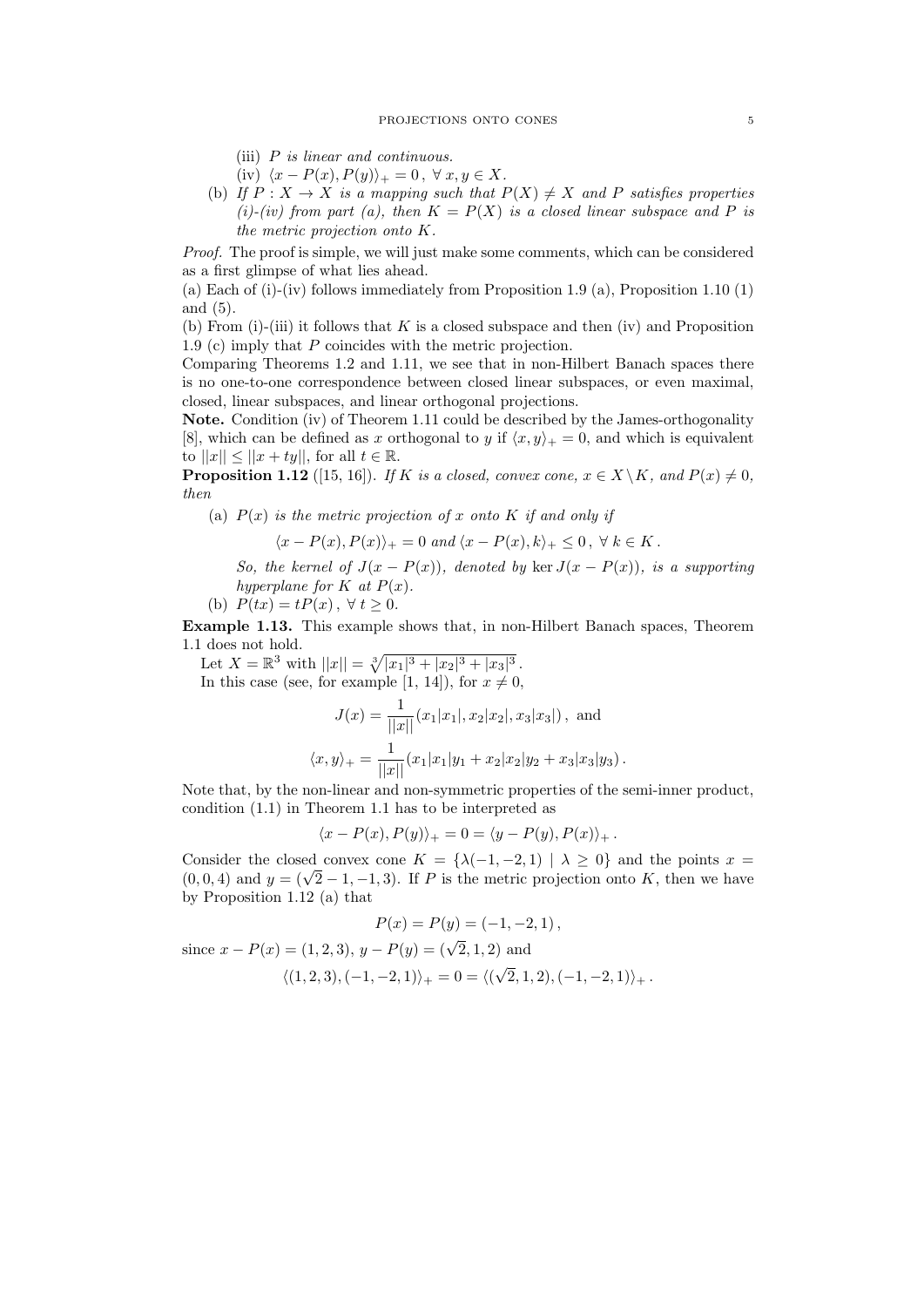- (iii)  $P$  is linear and continuous.
- (iv)  $\langle x P(x), P(y) \rangle_+ = 0, \forall x, y \in X.$
- (b) If  $P: X \to X$  is a mapping such that  $P(X) \neq X$  and P satisfies properties (i)-(iv) from part (a), then  $K = P(X)$  is a closed linear subspace and P is the metric projection onto K.

Proof. The proof is simple, we will just make some comments, which can be considered as a first glimpse of what lies ahead.

(a) Each of (i)-(iv) follows immediately from Proposition 1.9 (a), Proposition 1.10  $(1)$ and (5).

(b) From (i)-(iii) it follows that K is a closed subspace and then (iv) and Proposition 1.9 (c) imply that P coincides with the metric projection.

Comparing Theorems 1.2 and 1.11, we see that in non-Hilbert Banach spaces there is no one-to-one correspondence between closed linear subspaces, or even maximal, closed, linear subspaces, and linear orthogonal projections.

Note. Condition (iv) of Theorem 1.11 could be described by the James-orthogonality [8], which can be defined as x orthogonal to y if  $\langle x, y \rangle_+ = 0$ , and which is equivalent to  $||x|| \leq ||x+ty||$ , for all  $t \in \mathbb{R}$ .

**Proposition 1.12** ([15, 16]). If K is a closed, convex cone,  $x \in X \backslash K$ , and  $P(x) \neq 0$ , then

(a)  $P(x)$  is the metric projection of x onto K if and only if

$$
\langle x - P(x), P(x) \rangle_+ = 0 \text{ and } \langle x - P(x), k \rangle_+ \leq 0, \ \forall \ k \in K.
$$

So, the kernel of  $J(x - P(x))$ , denoted by ker  $J(x - P(x))$ , is a supporting hyperplane for  $K$  at  $P(x)$ .

(b)  $P(tx) = tP(x), \forall t \ge 0.$ 

Example 1.13. This example shows that, in non-Hilbert Banach spaces, Theorem 1.1 does not hold.

Let  $X = \mathbb{R}^3$  with  $||x|| = \sqrt[3]{|x_1|^3 + |x_2|^3 + |x_3|^3}$ . In this case (see, for example [1, 14]), for  $x \neq 0$ .

$$
J(x) = \frac{1}{||x||} (x_1|x_1|, x_2|x_2|, x_3|x_3|),
$$
 and  

$$
\langle x, y \rangle_+ = \frac{1}{||x||} (x_1|x_1|y_1 + x_2|x_2|y_2 + x_3|x_3|y_3).
$$

Note that, by the non-linear and non-symmetric properties of the semi-inner product, condition (1.1) in Theorem 1.1 has to be interpreted as

$$
\langle x-P(x),P(y)\rangle_+=0=\langle y-P(y),P(x)\rangle_+\,.
$$

Consider the closed convex cone  $K = \{\lambda(-1, -2, 1) | \lambda \geq 0\}$  and the points  $x =$ Consider the closed convex cone  $K = \{ \lambda(-1, -2, 1) | \lambda \ge 0 \}$  and the points  $x = (0, 0, 4)$  and  $y = (\sqrt{2} - 1, -1, 3)$ . If P is the metric projection onto K, then we have by Proposition 1.12 (a) that

$$
P(x) = P(y) = (-1, -2, 1),
$$

since  $x - P(x) = (1, 2, 3), y - P(y) = (\sqrt{2}, 1, 2)$  and  $\langle (1, 2, 3), (-1, -2, 1) \rangle_+ = 0 = \langle ($ √  $(2,1,2),(-1,-2,1)\rangle_+$  .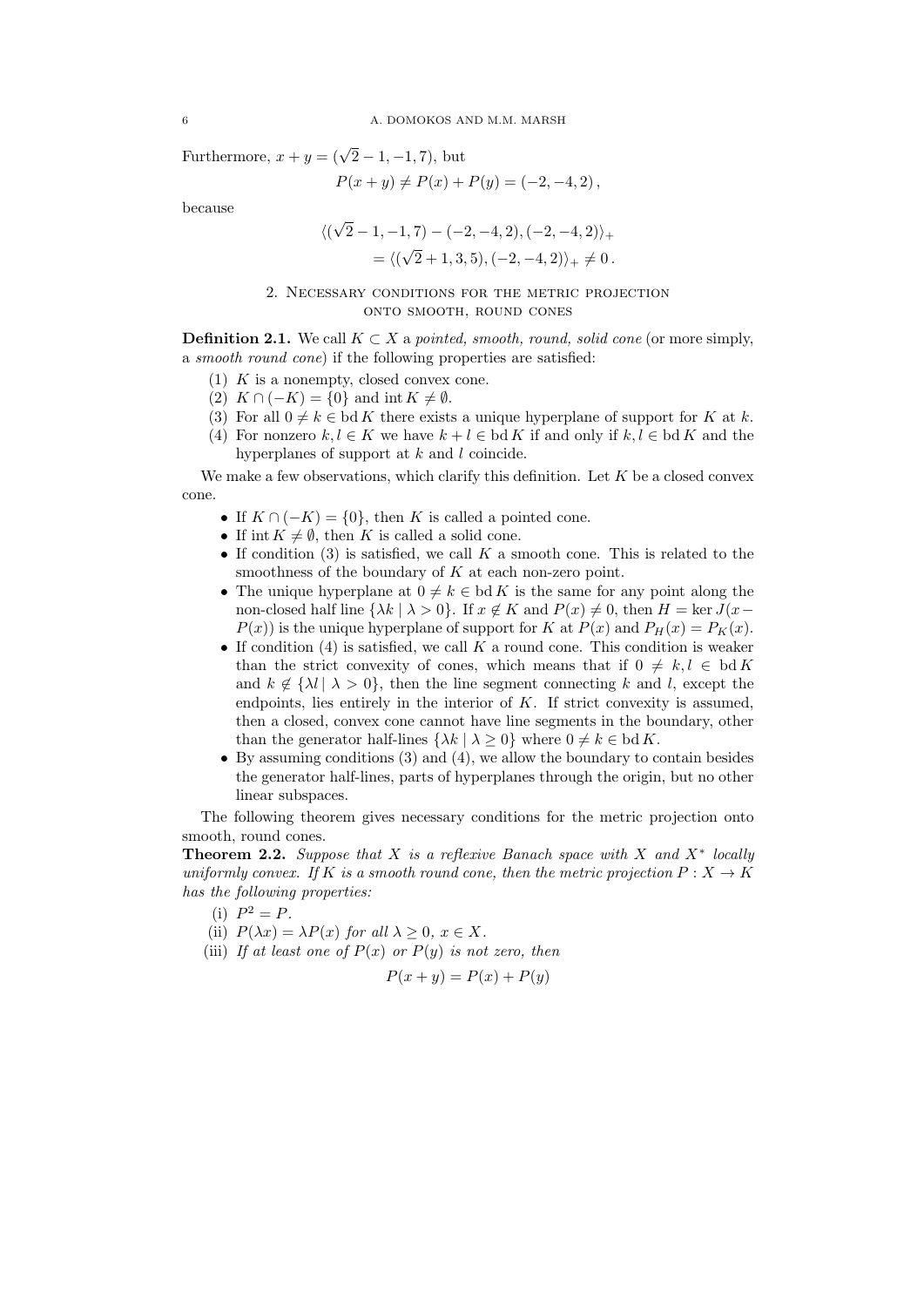Furthermore,  $x + y = (\sqrt{2} - 1, -1, 7)$ , but

$$
P(x + y) \neq P(x) + P(y) = (-2, -4, 2),
$$

because

$$
\langle (\sqrt{2} - 1, -1, 7) - (-2, -4, 2), (-2, -4, 2) \rangle_+
$$
  
=  $\langle (\sqrt{2} + 1, 3, 5), (-2, -4, 2) \rangle_+ \neq 0.$ 

## 2. Necessary conditions for the metric projection onto smooth, round cones

**Definition 2.1.** We call  $K \subset X$  a pointed, smooth, round, solid cone (or more simply, a smooth round cone) if the following properties are satisfied:

- (1)  $\,K$  is a nonempty, closed convex cone.
- (2)  $K \cap (-K) = \{0\}$  and int  $K \neq \emptyset$ .
- (3) For all  $0 \neq k \in \text{bd } K$  there exists a unique hyperplane of support for K at k.
- (4) For nonzero  $k, l \in K$  we have  $k + l \in bd K$  if and only if  $k, l \in bd K$  and the hyperplanes of support at k and l coincide.

We make a few observations, which clarify this definition. Let  $K$  be a closed convex cone.

- If  $K \cap (-K) = \{0\}$ , then K is called a pointed cone.
- If int  $K \neq \emptyset$ , then K is called a solid cone.
- If condition (3) is satisfied, we call  $K$  a smooth cone. This is related to the smoothness of the boundary of  $K$  at each non-zero point.
- The unique hyperplane at  $0 \neq k \in \text{bd } K$  is the same for any point along the non-closed half line  $\{\lambda k \mid \lambda > 0\}$ . If  $x \notin K$  and  $P(x) \neq 0$ , then  $H = \ker J(x P(x)$  is the unique hyperplane of support for K at  $P(x)$  and  $P_H(x) = P_K(x)$ .
- If condition  $(4)$  is satisfied, we call K a round cone. This condition is weaker than the strict convexity of cones, which means that if  $0 \neq k, l \in \text{bd } K$ and  $k \notin \{ \lambda l \mid \lambda > 0 \}$ , then the line segment connecting k and l, except the endpoints, lies entirely in the interior of  $K$ . If strict convexity is assumed, then a closed, convex cone cannot have line segments in the boundary, other than the generator half-lines  $\{\lambda k \mid \lambda \geq 0\}$  where  $0 \neq k \in \text{bd } K$ .
- By assuming conditions (3) and (4), we allow the boundary to contain besides the generator half-lines, parts of hyperplanes through the origin, but no other linear subspaces.

The following theorem gives necessary conditions for the metric projection onto smooth, round cones.

**Theorem 2.2.** Suppose that X is a reflexive Banach space with X and  $X^*$  locally uniformly convex. If K is a smooth round cone, then the metric projection  $P: X \to K$ has the following properties:

- (i)  $P^2 = P$ .
- (ii)  $P(\lambda x) = \lambda P(x)$  for all  $\lambda \geq 0, x \in X$ .
- (iii) If at least one of  $P(x)$  or  $P(y)$  is not zero, then

$$
P(x + y) = P(x) + P(y)
$$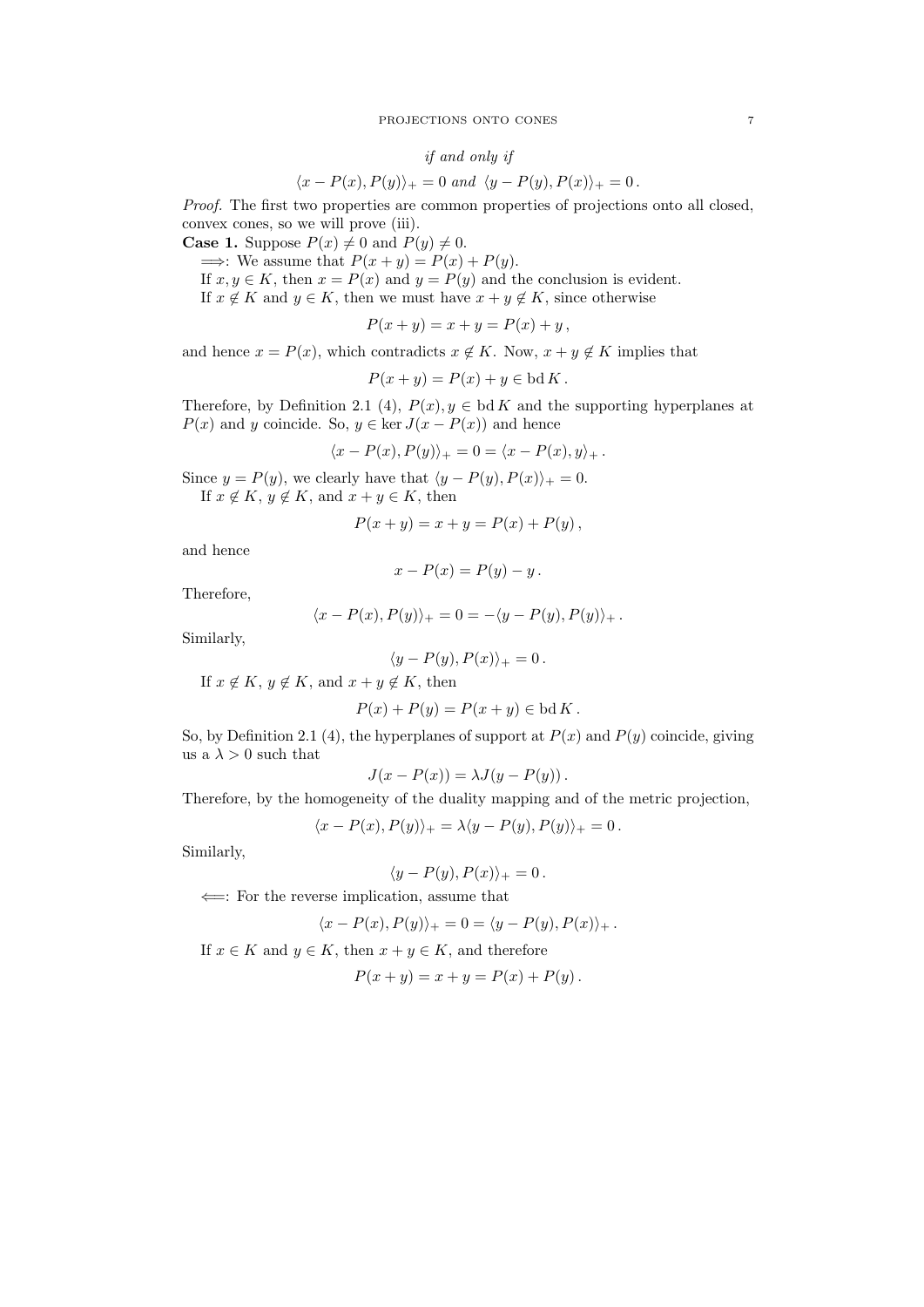#### PROJECTIONS ONTO CONES 7

## if and only if

$$
\langle x - P(x), P(y) \rangle_+ = 0 \text{ and } \langle y - P(y), P(x) \rangle_+ = 0.
$$

Proof. The first two properties are common properties of projections onto all closed, convex cones, so we will prove (iii).

**Case 1.** Suppose  $P(x) \neq 0$  and  $P(y) \neq 0$ .

 $\implies$ : We assume that  $P(x + y) = P(x) + P(y)$ . If  $x, y \in K$ , then  $x = P(x)$  and  $y = P(y)$  and the conclusion is evident. If  $x \notin K$  and  $y \in K$ , then we must have  $x + y \notin K$ , since otherwise

$$
P(x + y) = x + y = P(x) + y,
$$

and hence  $x = P(x)$ , which contradicts  $x \notin K$ . Now,  $x + y \notin K$  implies that

$$
P(x + y) = P(x) + y \in bd K.
$$

Therefore, by Definition 2.1 (4),  $P(x)$ ,  $y \in bd K$  and the supporting hyperplanes at  $P(x)$  and y coincide. So,  $y \in \text{ker } J(x - P(x))$  and hence

$$
\langle x - P(x), P(y) \rangle_+ = 0 = \langle x - P(x), y \rangle_+.
$$

Since  $y = P(y)$ , we clearly have that  $\langle y - P(y), P(x) \rangle_+ = 0$ . If  $x \notin K$ ,  $y \notin K$ , and  $x + y \in K$ , then

$$
P(x + y) = x + y = P(x) + P(y),
$$

and hence

$$
x - P(x) = P(y) - y.
$$

Therefore,

$$
\langle x - P(x), P(y) \rangle_+ = 0 = -\langle y - P(y), P(y) \rangle_+
$$

Similarly,

$$
\langle y - P(y), P(x) \rangle_+ = 0 \, .
$$

If  $x \notin K$ ,  $y \notin K$ , and  $x + y \notin K$ , then

$$
P(x) + P(y) = P(x + y) \in bd K.
$$

So, by Definition 2.1 (4), the hyperplanes of support at  $P(x)$  and  $P(y)$  coincide, giving us a $\lambda > 0$  such that

$$
J(x - P(x)) = \lambda J(y - P(y)).
$$

Therefore, by the homogeneity of the duality mapping and of the metric projection,

$$
\langle x - P(x), P(y) \rangle_+ = \lambda \langle y - P(y), P(y) \rangle_+ = 0.
$$

Similarly,

$$
\langle y - P(y), P(x) \rangle_+ = 0 \, .
$$

⇐=: For the reverse implication, assume that

$$
\langle x - P(x), P(y) \rangle_+ = 0 = \langle y - P(y), P(x) \rangle_+.
$$

If  $x \in K$  and  $y \in K$ , then  $x + y \in K$ , and therefore

$$
P(x + y) = x + y = P(x) + P(y).
$$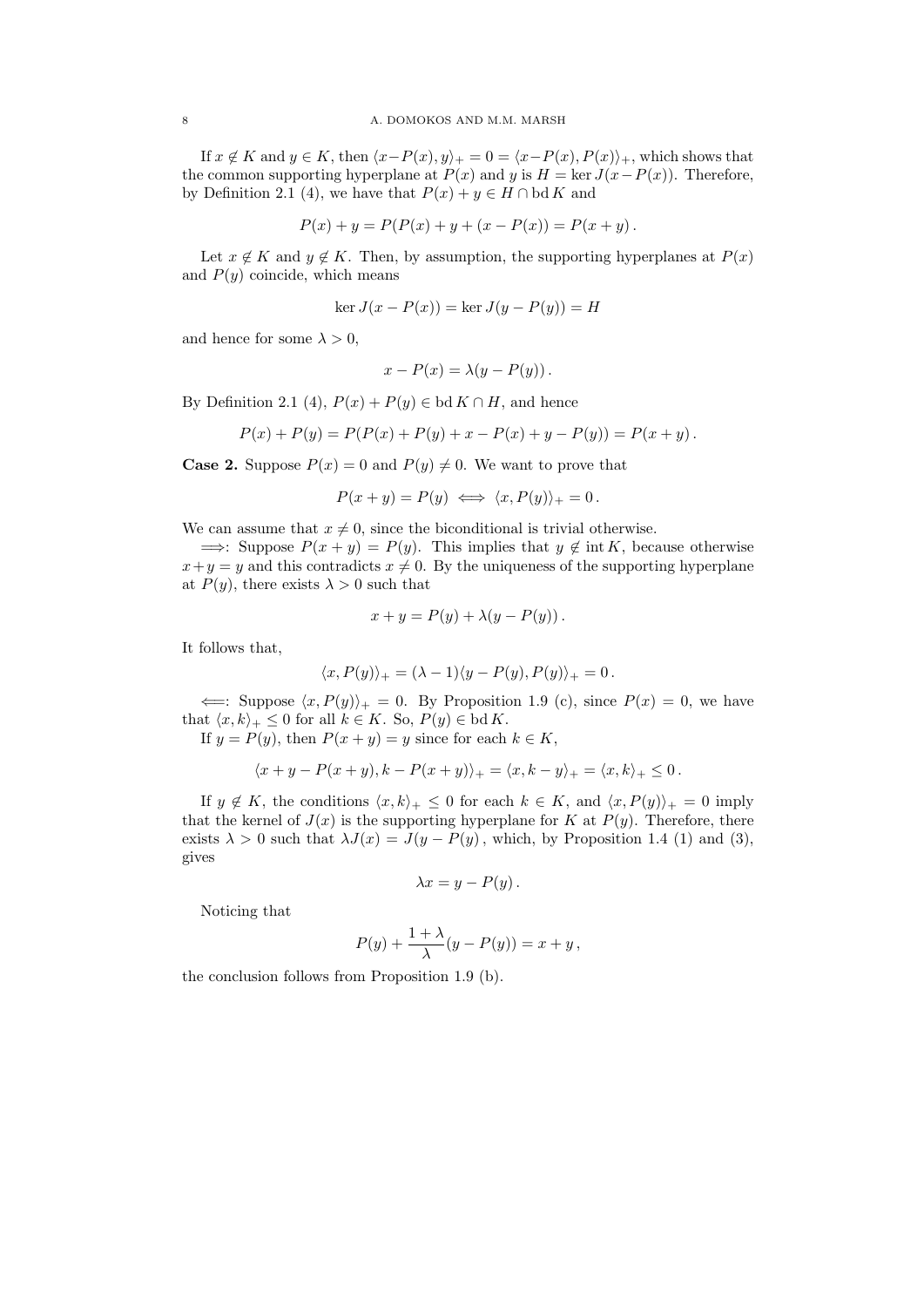If  $x \notin K$  and  $y \in K$ , then  $\langle x-P(x), y \rangle_+ = 0 = \langle x-P(x), P(x) \rangle_+$ , which shows that the common supporting hyperplane at  $P(x)$  and y is  $H = \text{ker } J(x - P(x))$ . Therefore, by Definition 2.1 (4), we have that  $P(x) + y \in H \cap \text{bd } K$  and

$$
P(x) + y = P(P(x) + y + (x - P(x)) = P(x + y).
$$

Let  $x \notin K$  and  $y \notin K$ . Then, by assumption, the supporting hyperplanes at  $P(x)$ and  $P(y)$  coincide, which means

$$
\ker J(x - P(x)) = \ker J(y - P(y)) = H
$$

and hence for some  $\lambda > 0$ ,

$$
x - P(x) = \lambda(y - P(y)).
$$

By Definition 2.1 (4),  $P(x) + P(y) \in bd K \cap H$ , and hence

$$
P(x) + P(y) = P(P(x) + P(y) + x - P(x) + y - P(y)) = P(x + y).
$$

**Case 2.** Suppose  $P(x) = 0$  and  $P(y) \neq 0$ . We want to prove that

$$
P(x + y) = P(y) \iff \langle x, P(y) \rangle_+ = 0.
$$

We can assume that  $x \neq 0$ , since the biconditional is trivial otherwise.

 $\implies$ : Suppose  $P(x + y) = P(y)$ . This implies that  $y \notin \text{int } K$ , because otherwise  $x+y=y$  and this contradicts  $x \neq 0$ . By the uniqueness of the supporting hyperplane at  $P(y)$ , there exists  $\lambda > 0$  such that

$$
x + y = P(y) + \lambda(y - P(y)).
$$

It follows that,

$$
\langle x, P(y) \rangle_+ = (\lambda - 1) \langle y - P(y), P(y) \rangle_+ = 0.
$$

 $\iff$ : Suppose  $\langle x, P(y) \rangle_+ = 0$ . By Proposition 1.9 (c), since  $P(x) = 0$ , we have that  $\langle x, k \rangle_+ \leq 0$  for all  $k \in K$ . So,  $P(y) \in \text{bd } K$ .

If  $y = P(y)$ , then  $P(x + y) = y$  since for each  $k \in K$ ,

$$
\langle x+y-P(x+y), k-P(x+y)\rangle_+=\langle x,k-y\rangle_+=\langle x,k\rangle_+\leq 0.
$$

If  $y \notin K$ , the conditions  $\langle x, k \rangle_+ \leq 0$  for each  $k \in K$ , and  $\langle x, P(y) \rangle_+ = 0$  imply that the kernel of  $J(x)$  is the supporting hyperplane for K at  $P(y)$ . Therefore, there exists  $\lambda > 0$  such that  $\lambda J(x) = J(y - P(y))$ , which, by Proposition 1.4 (1) and (3), gives

$$
\lambda x = y - P(y).
$$

Noticing that

$$
P(y) + \frac{1+\lambda}{\lambda}(y - P(y)) = x + y,
$$

the conclusion follows from Proposition 1.9 (b).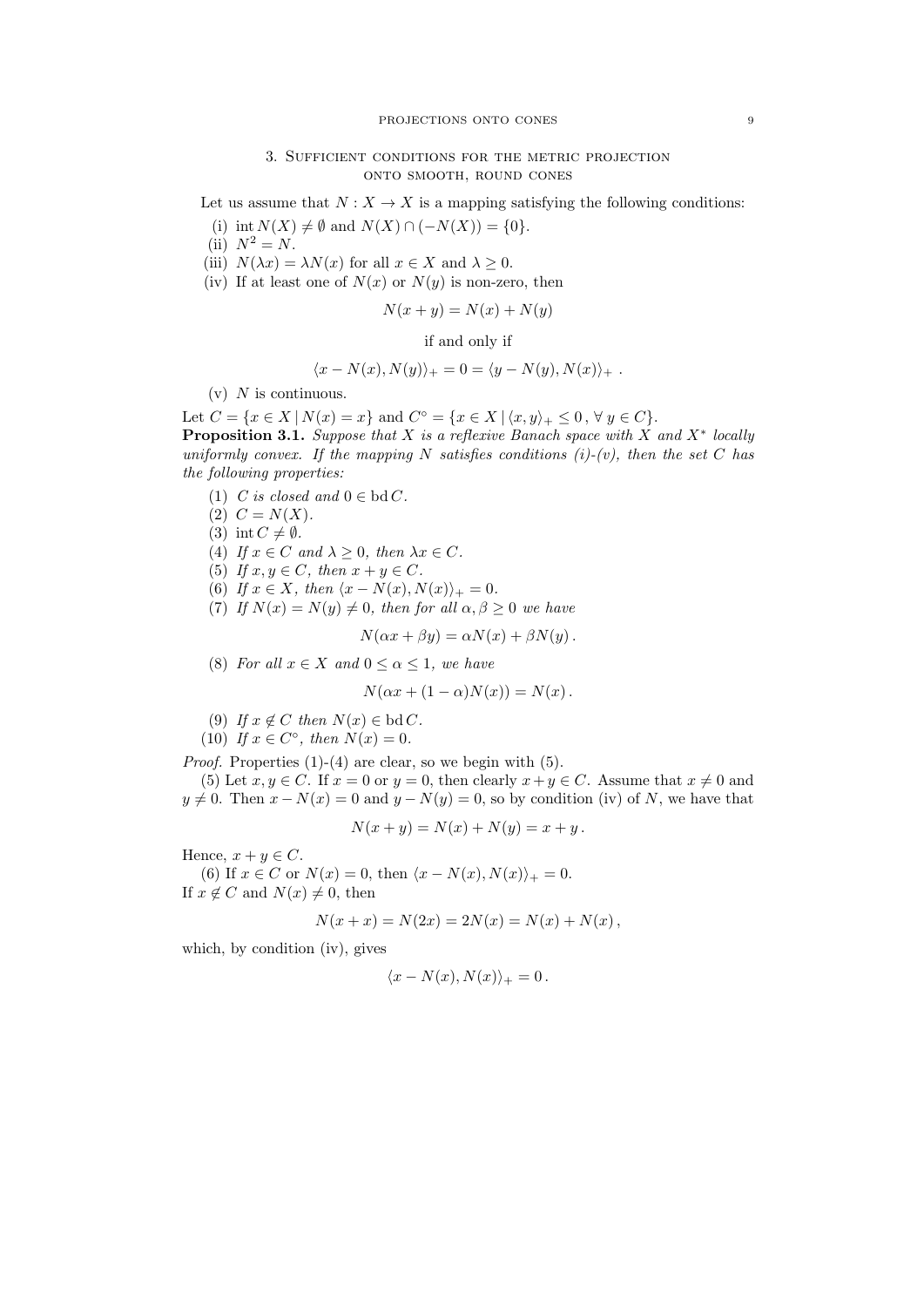## 3. Sufficient conditions for the metric projection onto smooth, round cones

Let us assume that  $N: X \to X$  is a mapping satisfying the following conditions:

- (i) int  $N(X) \neq \emptyset$  and  $N(X) \cap (-N(X)) = \{0\}.$
- (ii)  $N^2 = N$ .
- (iii)  $N(\lambda x) = \lambda N(x)$  for all  $x \in X$  and  $\lambda \geq 0$ .
- (iv) If at least one of  $N(x)$  or  $N(y)$  is non-zero, then

$$
N(x + y) = N(x) + N(y)
$$

if and only if

$$
\langle x - N(x), N(y) \rangle_+ = 0 = \langle y - N(y), N(x) \rangle_+ .
$$

 $(v)$  N is continuous.

Let  $C = \{x \in X \mid N(x) = x\}$  and  $C^{\circ} = \{x \in X \mid \langle x, y \rangle_{+} \leq 0, \forall y \in C\}.$ **Proposition 3.1.** Suppose that X is a reflexive Banach space with X and  $X^*$  locally uniformly convex. If the mapping N satisfies conditions  $(i)-(v)$ , then the set C has the following properties:

- (1) C is closed and  $0 \in \text{bd } C$ .
- (2)  $C = N(X)$ .
- (3) int  $C \neq \emptyset$ .
- (4) If  $x \in C$  and  $\lambda \geq 0$ , then  $\lambda x \in C$ .
- (5) If  $x, y \in C$ , then  $x + y \in C$ .
- (6) If  $x \in X$ , then  $\langle x N(x), N(x) \rangle_+ = 0$ .
- (7) If  $N(x) = N(y) \neq 0$ , then for all  $\alpha, \beta \geq 0$  we have

$$
N(\alpha x + \beta y) = \alpha N(x) + \beta N(y).
$$

(8) For all  $x \in X$  and  $0 \leq \alpha \leq 1$ , we have

$$
N(\alpha x + (1 - \alpha)N(x)) = N(x).
$$

- (9) If  $x \notin C$  then  $N(x) \in bd C$ .
- (10) If  $x \in C^{\circ}$ , then  $N(x) = 0$ .

Proof. Properties (1)-(4) are clear, so we begin with (5).

(5) Let  $x, y \in C$ . If  $x = 0$  or  $y = 0$ , then clearly  $x + y \in C$ . Assume that  $x \neq 0$  and  $y \neq 0$ . Then  $x - N(x) = 0$  and  $y - N(y) = 0$ , so by condition (iv) of N, we have that

$$
N(x + y) = N(x) + N(y) = x + y.
$$

Hence,  $x + y \in C$ .

(6) If  $x \in C$  or  $N(x) = 0$ , then  $\langle x - N(x), N(x) \rangle_+ = 0$ . If  $x \notin C$  and  $N(x) \neq 0$ , then

$$
N(x + x) = N(2x) = 2N(x) = N(x) + N(x),
$$

which, by condition (iv), gives

$$
\langle x - N(x), N(x) \rangle_+ = 0 \, .
$$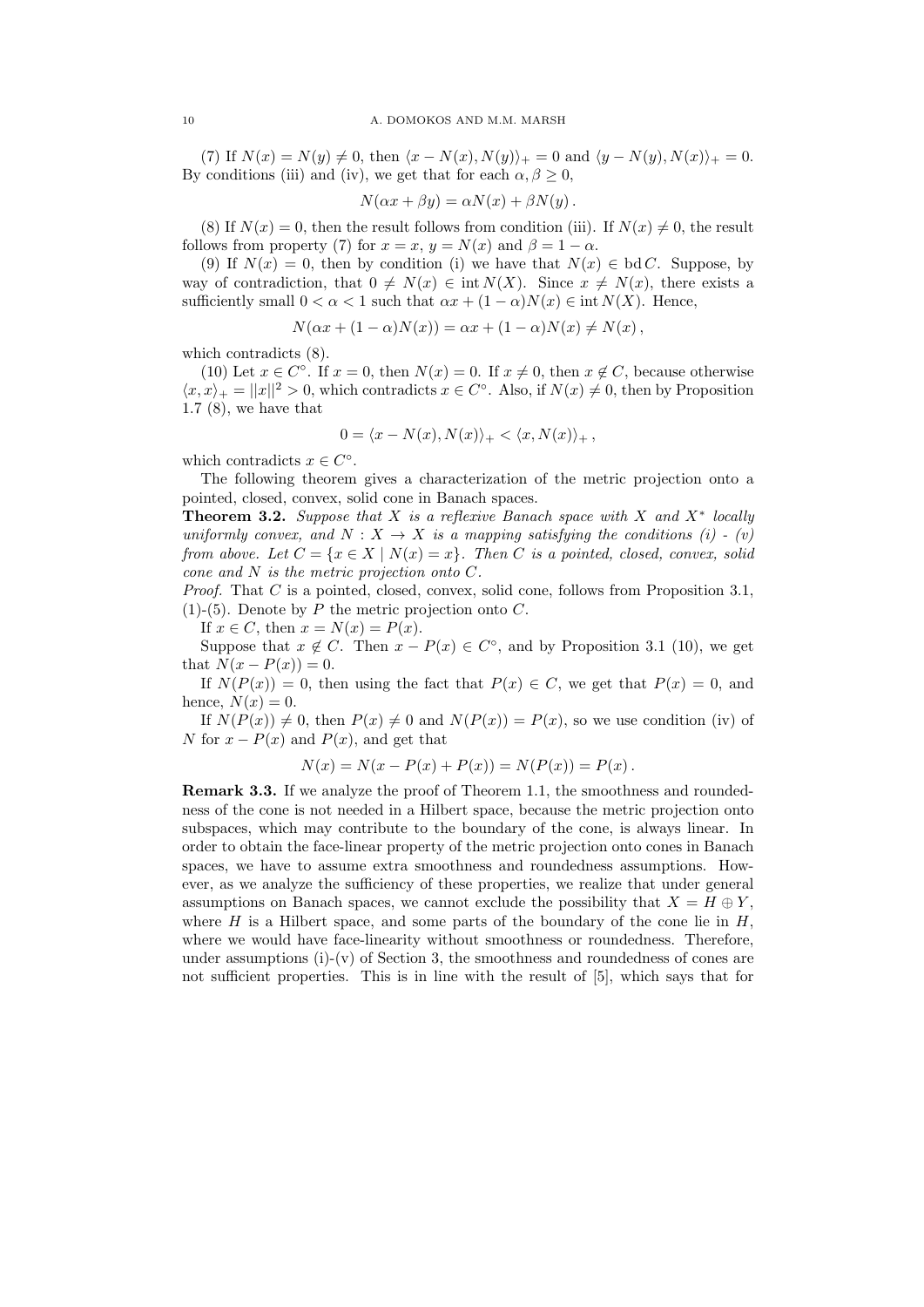(7) If  $N(x) = N(y) \neq 0$ , then  $\langle x - N(x), N(y) \rangle_+ = 0$  and  $\langle y - N(y), N(x) \rangle_+ = 0$ . By conditions (iii) and (iv), we get that for each  $\alpha, \beta \geq 0$ ,

$$
N(\alpha x + \beta y) = \alpha N(x) + \beta N(y).
$$

(8) If  $N(x) = 0$ , then the result follows from condition (iii). If  $N(x) \neq 0$ , the result follows from property (7) for  $x = x$ ,  $y = N(x)$  and  $\beta = 1 - \alpha$ .

(9) If  $N(x) = 0$ , then by condition (i) we have that  $N(x) \in bd C$ . Suppose, by way of contradiction, that  $0 \neq N(x) \in \text{int } N(X)$ . Since  $x \neq N(x)$ , there exists a sufficiently small  $0 < \alpha < 1$  such that  $\alpha x + (1 - \alpha)N(x) \in \text{int } N(X)$ . Hence,

$$
N(\alpha x + (1 - \alpha)N(x)) = \alpha x + (1 - \alpha)N(x) \neq N(x),
$$

which contradicts (8).

(10) Let  $x \in C^{\circ}$ . If  $x = 0$ , then  $N(x) = 0$ . If  $x \neq 0$ , then  $x \notin C$ , because otherwise  $\langle x, x \rangle_+ = ||x||^2 > 0$ , which contradicts  $x \in C^{\circ}$ . Also, if  $N(x) \neq 0$ , then by Proposition 1.7 (8), we have that

$$
0 = \langle x - N(x), N(x) \rangle_+ < \langle x, N(x) \rangle_+,
$$

which contradicts  $x \in C^{\circ}$ .

The following theorem gives a characterization of the metric projection onto a pointed, closed, convex, solid cone in Banach spaces.

**Theorem 3.2.** Suppose that X is a reflexive Banach space with X and  $X^*$  locally uniformly convex, and  $N : X \to X$  is a mapping satisfying the conditions (i) - (v) from above. Let  $C = \{x \in X \mid N(x) = x\}$ . Then C is a pointed, closed, convex, solid cone and N is the metric projection onto C.

Proof. That C is a pointed, closed, convex, solid cone, follows from Proposition 3.1,  $(1)$ - $(5)$ . Denote by P the metric projection onto C.

If  $x \in C$ , then  $x = N(x) = P(x)$ .

Suppose that  $x \notin C$ . Then  $x - P(x) \in C^{\circ}$ , and by Proposition 3.1 (10), we get that  $N(x - P(x)) = 0$ .

If  $N(P(x)) = 0$ , then using the fact that  $P(x) \in C$ , we get that  $P(x) = 0$ , and hence,  $N(x) = 0$ .

If  $N(P(x)) \neq 0$ , then  $P(x) \neq 0$  and  $N(P(x)) = P(x)$ , so we use condition (iv) of N for  $x - P(x)$  and  $P(x)$ , and get that

$$
N(x) = N(x - P(x) + P(x)) = N(P(x)) = P(x).
$$

Remark 3.3. If we analyze the proof of Theorem 1.1, the smoothness and roundedness of the cone is not needed in a Hilbert space, because the metric projection onto subspaces, which may contribute to the boundary of the cone, is always linear. In order to obtain the face-linear property of the metric projection onto cones in Banach spaces, we have to assume extra smoothness and roundedness assumptions. However, as we analyze the sufficiency of these properties, we realize that under general assumptions on Banach spaces, we cannot exclude the possibility that  $X = H \oplus Y$ , where H is a Hilbert space, and some parts of the boundary of the cone lie in  $H$ , where we would have face-linearity without smoothness or roundedness. Therefore, under assumptions  $(i)-(v)$  of Section 3, the smoothness and roundedness of cones are not sufficient properties. This is in line with the result of [5], which says that for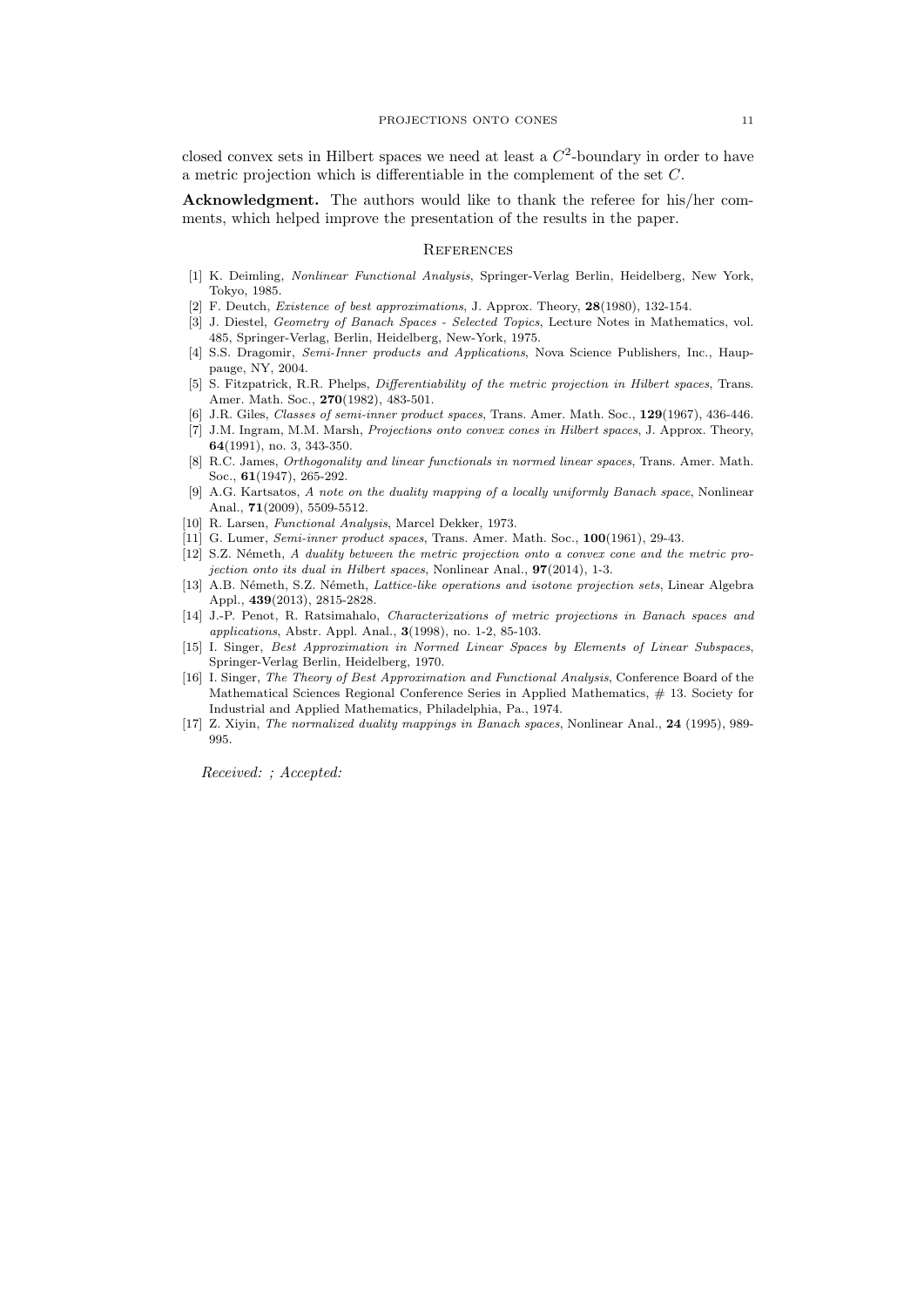closed convex sets in Hilbert spaces we need at least a  $C<sup>2</sup>$ -boundary in order to have a metric projection which is differentiable in the complement of the set C.

Acknowledgment. The authors would like to thank the referee for his/her comments, which helped improve the presentation of the results in the paper.

### **REFERENCES**

- [1] K. Deimling, Nonlinear Functional Analysis, Springer-Verlag Berlin, Heidelberg, New York, Tokyo, 1985.
- [2] F. Deutch, Existence of best approximations, J. Approx. Theory, 28(1980), 132-154.
- [3] J. Diestel, Geometry of Banach Spaces Selected Topics, Lecture Notes in Mathematics, vol. 485, Springer-Verlag, Berlin, Heidelberg, New-York, 1975.
- [4] S.S. Dragomir, Semi-Inner products and Applications, Nova Science Publishers, Inc., Hauppauge, NY, 2004.
- [5] S. Fitzpatrick, R.R. Phelps, Differentiability of the metric projection in Hilbert spaces, Trans. Amer. Math. Soc., 270(1982), 483-501.
- [6] J.R. Giles, Classes of semi-inner product spaces, Trans. Amer. Math. Soc., 129(1967), 436-446.
- [7] J.M. Ingram, M.M. Marsh, Projections onto convex cones in Hilbert spaces, J. Approx. Theory, 64(1991), no. 3, 343-350.
- [8] R.C. James, Orthogonality and linear functionals in normed linear spaces, Trans. Amer. Math. Soc., 61(1947), 265-292.
- [9] A.G. Kartsatos, A note on the duality mapping of a locally uniformly Banach space, Nonlinear Anal., 71(2009), 5509-5512.
- [10] R. Larsen, Functional Analysis, Marcel Dekker, 1973.
- [11] G. Lumer, *Semi-inner product spaces*, Trans. Amer. Math. Soc., **100**(1961), 29-43.
- [12] S.Z. Németh, A duality between the metric projection onto a convex cone and the metric projection onto its dual in Hilbert spaces, Nonlinear Anal., 97(2014), 1-3.
- [13] A.B. Németh, S.Z. Németh, Lattice-like operations and isotone projection sets, Linear Algebra Appl., 439(2013), 2815-2828.
- [14] J.-P. Penot, R. Ratsimahalo, Characterizations of metric projections in Banach spaces and applications, Abstr. Appl. Anal., 3(1998), no. 1-2, 85-103.
- [15] I. Singer, Best Approximation in Normed Linear Spaces by Elements of Linear Subspaces, Springer-Verlag Berlin, Heidelberg, 1970.
- [16] I. Singer, The Theory of Best Approximation and Functional Analysis, Conference Board of the Mathematical Sciences Regional Conference Series in Applied Mathematics, # 13. Society for Industrial and Applied Mathematics, Philadelphia, Pa., 1974.
- [17] Z. Xiyin, The normalized duality mappings in Banach spaces, Nonlinear Anal., 24 (1995), 989- 995.

Received: ; Accepted: